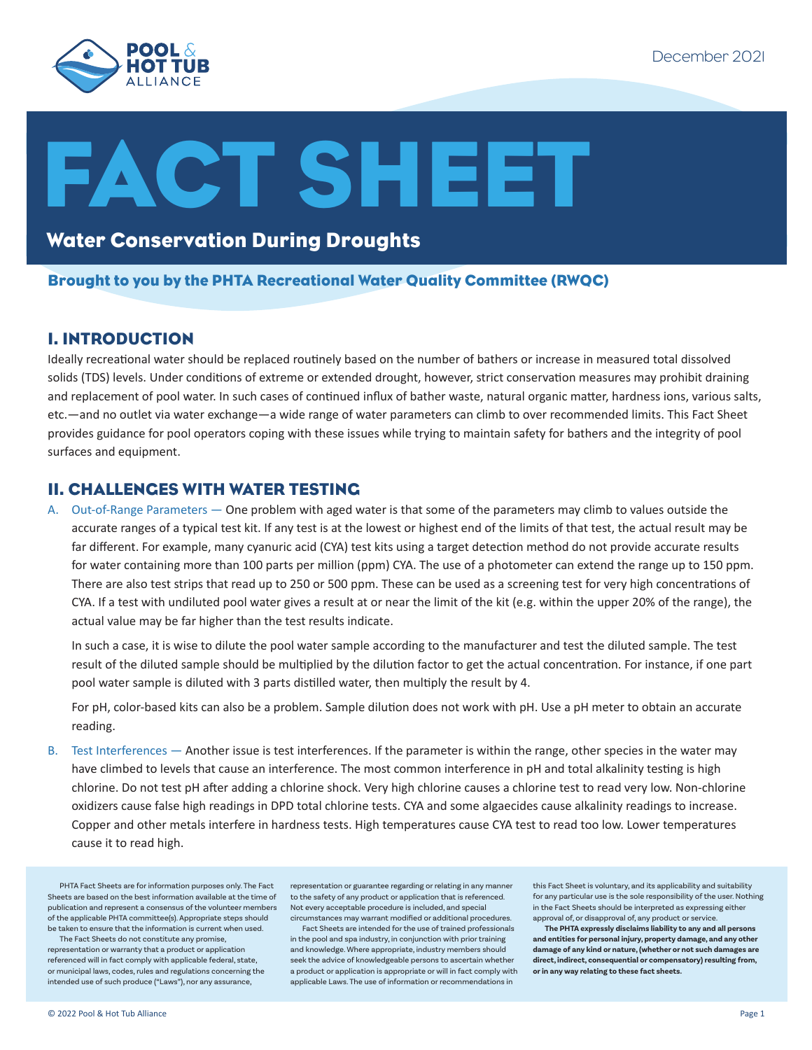

# **CT SHEET**

## Water Conservation During Droughts

#### Brought to you by the PHTA Recreational Water Quality Committee (RWQC)

#### I. INTRODUCTION

Ideally recreational water should be replaced routinely based on the number of bathers or increase in measured total dissolved solids (TDS) levels. Under conditions of extreme or extended drought, however, strict conservation measures may prohibit draining and replacement of pool water. In such cases of continued influx of bather waste, natural organic matter, hardness ions, various salts, etc.—and no outlet via water exchange—a wide range of water parameters can climb to over recommended limits. This Fact Sheet provides guidance for pool operators coping with these issues while trying to maintain safety for bathers and the integrity of pool surfaces and equipment.

#### II. CHALLENGES WITH WATER TESTING

A. Out-of-Range Parameters — One problem with aged water is that some of the parameters may climb to values outside the accurate ranges of a typical test kit. If any test is at the lowest or highest end of the limits of that test, the actual result may be far different. For example, many cyanuric acid (CYA) test kits using a target detection method do not provide accurate results for water containing more than 100 parts per million (ppm) CYA. The use of a photometer can extend the range up to 150 ppm. There are also test strips that read up to 250 or 500 ppm. These can be used as a screening test for very high concentrations of CYA. If a test with undiluted pool water gives a result at or near the limit of the kit (e.g. within the upper 20% of the range), the actual value may be far higher than the test results indicate.

In such a case, it is wise to dilute the pool water sample according to the manufacturer and test the diluted sample. The test result of the diluted sample should be multiplied by the dilution factor to get the actual concentration. For instance, if one part pool water sample is diluted with 3 parts distilled water, then multiply the result by 4.

For pH, color-based kits can also be a problem. Sample dilution does not work with pH. Use a pH meter to obtain an accurate reading.

B. Test Interferences — Another issue is test interferences. If the parameter is within the range, other species in the water may have climbed to levels that cause an interference. The most common interference in pH and total alkalinity testing is high chlorine. Do not test pH after adding a chlorine shock. Very high chlorine causes a chlorine test to read very low. Non-chlorine oxidizers cause false high readings in DPD total chlorine tests. CYA and some algaecides cause alkalinity readings to increase. Copper and other metals interfere in hardness tests. High temperatures cause CYA test to read too low. Lower temperatures cause it to read high.

PHTA Fact Sheets are for information purposes only. The Fact Sheets are based on the best information available at the time of publication and represent a consensus of the volunteer members Not every acceptable procedure is included, and special of the applicable PHTA committee(s). Appropriate steps should be taken to ensure that the information is current when used.

The Fact Sheets do not constitute any promise, representation or warranty that a product or application referenced will in fact comply with applicable federal, state, or municipal laws, codes, rules and regulations concerning the intended use of such produce ("Laws"), nor any assurance,

representation or guarantee regarding or relating in any manner to the safety of any product or application that is referenced. circumstances may warrant modified or additional procedures.

Fact Sheets are intended for the use of trained professionals in the pool and spa industry, in conjunction with prior training and knowledge. Where appropriate, industry members should seek the advice of knowledgeable persons to ascertain whether a product or application is appropriate or will in fact comply with applicable Laws. The use of information or recommendations in

this Fact Sheet is voluntary, and its applicability and suitability for any particular use is the sole responsibility of the user. Nothing in the Fact Sheets should be interpreted as expressing either approval of, or disapproval of, any product or service.

**The PHTA expressly disclaims liability to any and all persons and entities for personal injury, property damage, and any other damage of any kind or nature, (whether or not such damages are direct, indirect, consequential or compensatory) resulting from, or in any way relating to these fact sheets.**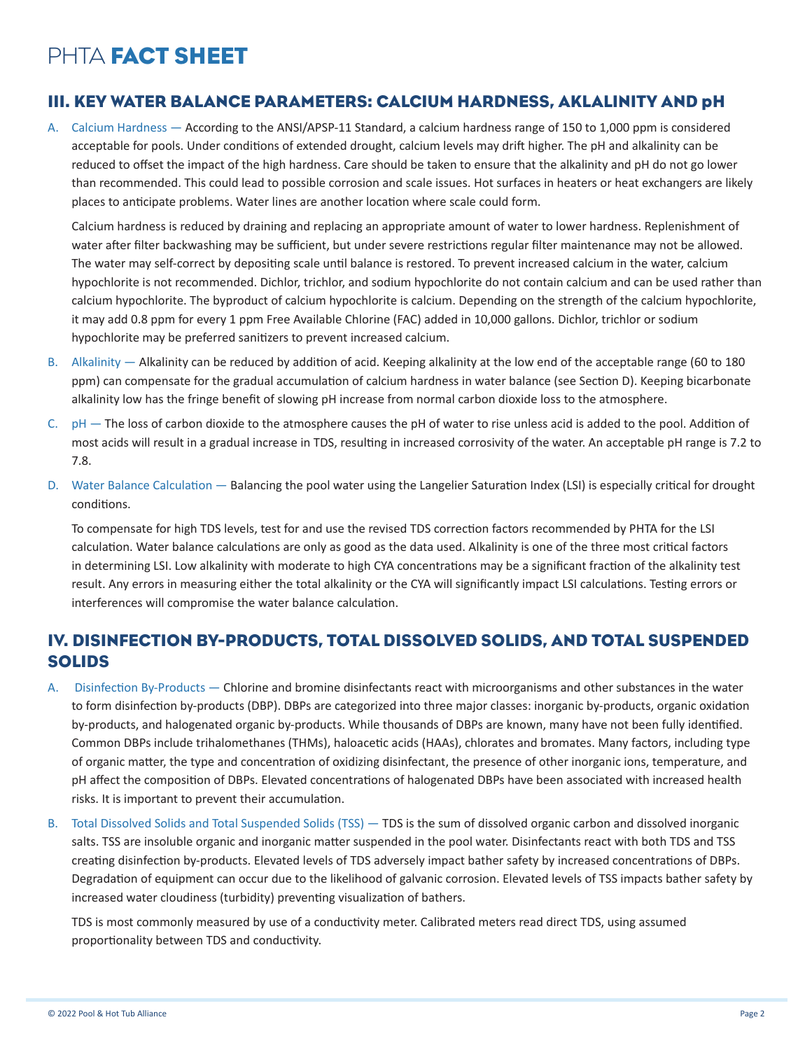### III. KEY WATER BALANCE PARAMETERS: CALCIUM HARDNESS, AKLALINITY AND pH

A. Calcium Hardness — According to the ANSI/APSP-11 Standard, a calcium hardness range of 150 to 1,000 ppm is considered acceptable for pools. Under conditions of extended drought, calcium levels may drift higher. The pH and alkalinity can be reduced to offset the impact of the high hardness. Care should be taken to ensure that the alkalinity and pH do not go lower than recommended. This could lead to possible corrosion and scale issues. Hot surfaces in heaters or heat exchangers are likely places to anticipate problems. Water lines are another location where scale could form.

Calcium hardness is reduced by draining and replacing an appropriate amount of water to lower hardness. Replenishment of water after filter backwashing may be sufficient, but under severe restrictions regular filter maintenance may not be allowed. The water may self-correct by depositing scale until balance is restored. To prevent increased calcium in the water, calcium hypochlorite is not recommended. Dichlor, trichlor, and sodium hypochlorite do not contain calcium and can be used rather than calcium hypochlorite. The byproduct of calcium hypochlorite is calcium. Depending on the strength of the calcium hypochlorite, it may add 0.8 ppm for every 1 ppm Free Available Chlorine (FAC) added in 10,000 gallons. Dichlor, trichlor or sodium hypochlorite may be preferred sanitizers to prevent increased calcium.

- B. Alkalinity Alkalinity can be reduced by addition of acid. Keeping alkalinity at the low end of the acceptable range (60 to 180 ppm) can compensate for the gradual accumulation of calcium hardness in water balance (see Section D). Keeping bicarbonate alkalinity low has the fringe benefit of slowing pH increase from normal carbon dioxide loss to the atmosphere.
- C. pH The loss of carbon dioxide to the atmosphere causes the pH of water to rise unless acid is added to the pool. Addition of most acids will result in a gradual increase in TDS, resulting in increased corrosivity of the water. An acceptable pH range is 7.2 to 7.8.
- D. Water Balance Calculation Balancing the pool water using the Langelier Saturation Index (LSI) is especially critical for drought conditions.

To compensate for high TDS levels, test for and use the revised TDS correction factors recommended by PHTA for the LSI calculation. Water balance calculations are only as good as the data used. Alkalinity is one of the three most critical factors in determining LSI. Low alkalinity with moderate to high CYA concentrations may be a significant fraction of the alkalinity test result. Any errors in measuring either the total alkalinity or the CYA will significantly impact LSI calculations. Testing errors or interferences will compromise the water balance calculation.

## IV. DISINFECTION BY-PRODUCTS, TOTAL DISSOLVED SOLIDS, AND TOTAL SUSPENDED SOLIDS

- A. Disinfection By-Products Chlorine and bromine disinfectants react with microorganisms and other substances in the water to form disinfection by-products (DBP). DBPs are categorized into three major classes: inorganic by-products, organic oxidation by-products, and halogenated organic by-products. While thousands of DBPs are known, many have not been fully identified. Common DBPs include trihalomethanes (THMs), haloacetic acids (HAAs), chlorates and bromates. Many factors, including type of organic matter, the type and concentration of oxidizing disinfectant, the presence of other inorganic ions, temperature, and pH affect the composition of DBPs. Elevated concentrations of halogenated DBPs have been associated with increased health risks. It is important to prevent their accumulation.
- B. Total Dissolved Solids and Total Suspended Solids (TSS) TDS is the sum of dissolved organic carbon and dissolved inorganic salts. TSS are insoluble organic and inorganic matter suspended in the pool water. Disinfectants react with both TDS and TSS creating disinfection by-products. Elevated levels of TDS adversely impact bather safety by increased concentrations of DBPs. Degradation of equipment can occur due to the likelihood of galvanic corrosion. Elevated levels of TSS impacts bather safety by increased water cloudiness (turbidity) preventing visualization of bathers.

TDS is most commonly measured by use of a conductivity meter. Calibrated meters read direct TDS, using assumed proportionality between TDS and conductivity.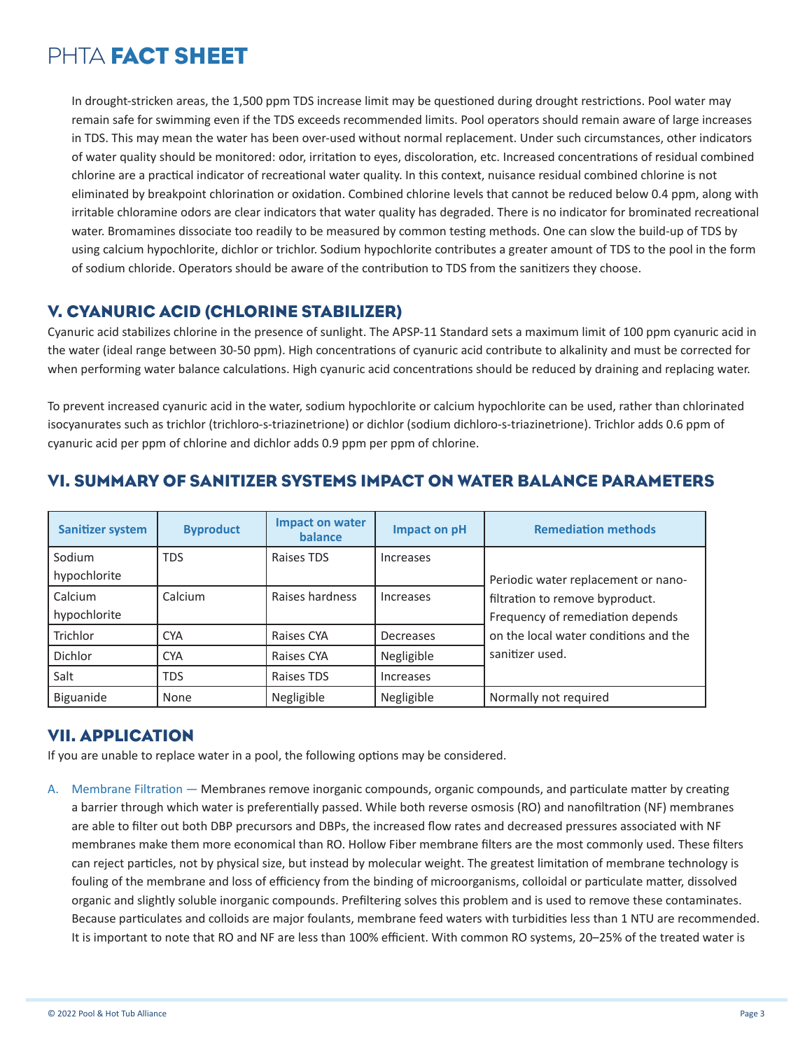In drought-stricken areas, the 1,500 ppm TDS increase limit may be questioned during drought restrictions. Pool water may remain safe for swimming even if the TDS exceeds recommended limits. Pool operators should remain aware of large increases in TDS. This may mean the water has been over-used without normal replacement. Under such circumstances, other indicators of water quality should be monitored: odor, irritation to eyes, discoloration, etc. Increased concentrations of residual combined chlorine are a practical indicator of recreational water quality. In this context, nuisance residual combined chlorine is not eliminated by breakpoint chlorination or oxidation. Combined chlorine levels that cannot be reduced below 0.4 ppm, along with irritable chloramine odors are clear indicators that water quality has degraded. There is no indicator for brominated recreational water. Bromamines dissociate too readily to be measured by common testing methods. One can slow the build-up of TDS by using calcium hypochlorite, dichlor or trichlor. Sodium hypochlorite contributes a greater amount of TDS to the pool in the form of sodium chloride. Operators should be aware of the contribution to TDS from the sanitizers they choose.

#### V. CYANURIC ACID (CHLORINE STABILIZER)

Cyanuric acid stabilizes chlorine in the presence of sunlight. The APSP-11 Standard sets a maximum limit of 100 ppm cyanuric acid in the water (ideal range between 30-50 ppm). High concentrations of cyanuric acid contribute to alkalinity and must be corrected for when performing water balance calculations. High cyanuric acid concentrations should be reduced by draining and replacing water.

To prevent increased cyanuric acid in the water, sodium hypochlorite or calcium hypochlorite can be used, rather than chlorinated isocyanurates such as trichlor (trichloro-s-triazinetrione) or dichlor (sodium dichloro-s-triazinetrione). Trichlor adds 0.6 ppm of cyanuric acid per ppm of chlorine and dichlor adds 0.9 ppm per ppm of chlorine.

| <b>Sanitizer system</b> | <b>Byproduct</b> | <b>Impact on water</b><br><b>balance</b> | Impact on pH | <b>Remediation methods</b>            |
|-------------------------|------------------|------------------------------------------|--------------|---------------------------------------|
| Sodium                  | TDS              | Raises TDS                               | Increases    |                                       |
| hypochlorite            |                  |                                          |              | Periodic water replacement or nano-   |
| Calcium                 | Calcium          | Raises hardness                          | Increases    | filtration to remove byproduct.       |
| hypochlorite            |                  |                                          |              | Frequency of remediation depends      |
| Trichlor                | <b>CYA</b>       | Raises CYA                               | Decreases    | on the local water conditions and the |
| <b>Dichlor</b>          | <b>CYA</b>       | Raises CYA                               | Negligible   | sanitizer used.                       |
| Salt                    | <b>TDS</b>       | Raises TDS                               | Increases    |                                       |
| Biguanide               | None             | Negligible                               | Negligible   | Normally not required                 |

#### VI. SUMMARY OF SANITIZER SYSTEMS IMPACT ON WATER BALANCE PARAMETERS

## VII. APPLICATION

If you are unable to replace water in a pool, the following options may be considered.

A. Membrane Filtration — Membranes remove inorganic compounds, organic compounds, and particulate matter by creating a barrier through which water is preferentially passed. While both reverse osmosis (RO) and nanofiltration (NF) membranes are able to filter out both DBP precursors and DBPs, the increased flow rates and decreased pressures associated with NF membranes make them more economical than RO. Hollow Fiber membrane filters are the most commonly used. These filters can reject particles, not by physical size, but instead by molecular weight. The greatest limitation of membrane technology is fouling of the membrane and loss of efficiency from the binding of microorganisms, colloidal or particulate matter, dissolved organic and slightly soluble inorganic compounds. Prefiltering solves this problem and is used to remove these contaminates. Because particulates and colloids are major foulants, membrane feed waters with turbidities less than 1 NTU are recommended. It is important to note that RO and NF are less than 100% efficient. With common RO systems, 20–25% of the treated water is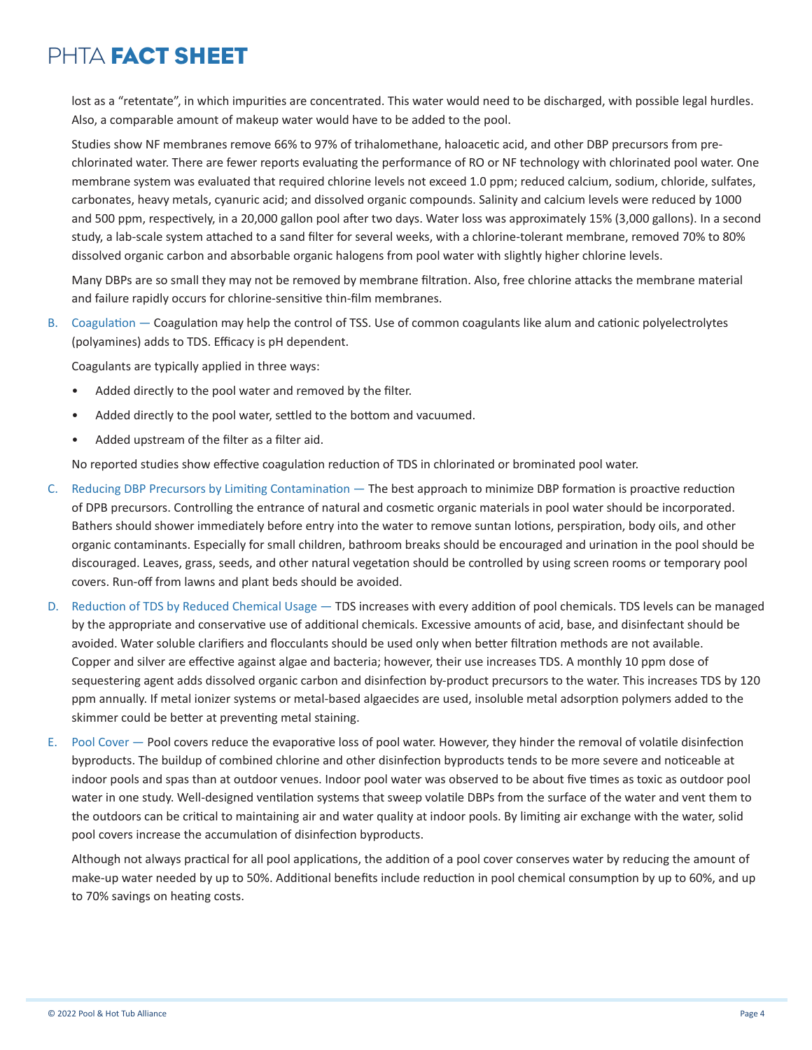lost as a "retentate", in which impurities are concentrated. This water would need to be discharged, with possible legal hurdles. Also, a comparable amount of makeup water would have to be added to the pool.

Studies show NF membranes remove 66% to 97% of trihalomethane, haloacetic acid, and other DBP precursors from prechlorinated water. There are fewer reports evaluating the performance of RO or NF technology with chlorinated pool water. One membrane system was evaluated that required chlorine levels not exceed 1.0 ppm; reduced calcium, sodium, chloride, sulfates, carbonates, heavy metals, cyanuric acid; and dissolved organic compounds. Salinity and calcium levels were reduced by 1000 and 500 ppm, respectively, in a 20,000 gallon pool after two days. Water loss was approximately 15% (3,000 gallons). In a second study, a lab-scale system attached to a sand filter for several weeks, with a chlorine-tolerant membrane, removed 70% to 80% dissolved organic carbon and absorbable organic halogens from pool water with slightly higher chlorine levels.

Many DBPs are so small they may not be removed by membrane filtration. Also, free chlorine attacks the membrane material and failure rapidly occurs for chlorine-sensitive thin-film membranes.

B. Coagulation — Coagulation may help the control of TSS. Use of common coagulants like alum and cationic polyelectrolytes (polyamines) adds to TDS. Efficacy is pH dependent.

Coagulants are typically applied in three ways:

- Added directly to the pool water and removed by the filter.
- Added directly to the pool water, settled to the bottom and vacuumed.
- Added upstream of the filter as a filter aid.

No reported studies show effective coagulation reduction of TDS in chlorinated or brominated pool water.

- C. Reducing DBP Precursors by Limiting Contamination The best approach to minimize DBP formation is proactive reduction of DPB precursors. Controlling the entrance of natural and cosmetic organic materials in pool water should be incorporated. Bathers should shower immediately before entry into the water to remove suntan lotions, perspiration, body oils, and other organic contaminants. Especially for small children, bathroom breaks should be encouraged and urination in the pool should be discouraged. Leaves, grass, seeds, and other natural vegetation should be controlled by using screen rooms or temporary pool covers. Run-off from lawns and plant beds should be avoided.
- D. Reduction of TDS by Reduced Chemical Usage TDS increases with every addition of pool chemicals. TDS levels can be managed by the appropriate and conservative use of additional chemicals. Excessive amounts of acid, base, and disinfectant should be avoided. Water soluble clarifiers and flocculants should be used only when better filtration methods are not available. Copper and silver are effective against algae and bacteria; however, their use increases TDS. A monthly 10 ppm dose of sequestering agent adds dissolved organic carbon and disinfection by-product precursors to the water. This increases TDS by 120 ppm annually. If metal ionizer systems or metal-based algaecides are used, insoluble metal adsorption polymers added to the skimmer could be better at preventing metal staining.
- E. Pool Cover Pool covers reduce the evaporative loss of pool water. However, they hinder the removal of volatile disinfection byproducts. The buildup of combined chlorine and other disinfection byproducts tends to be more severe and noticeable at indoor pools and spas than at outdoor venues. Indoor pool water was observed to be about five times as toxic as outdoor pool water in one study. Well-designed ventilation systems that sweep volatile DBPs from the surface of the water and vent them to the outdoors can be critical to maintaining air and water quality at indoor pools. By limiting air exchange with the water, solid pool covers increase the accumulation of disinfection byproducts.

Although not always practical for all pool applications, the addition of a pool cover conserves water by reducing the amount of make-up water needed by up to 50%. Additional benefits include reduction in pool chemical consumption by up to 60%, and up to 70% savings on heating costs.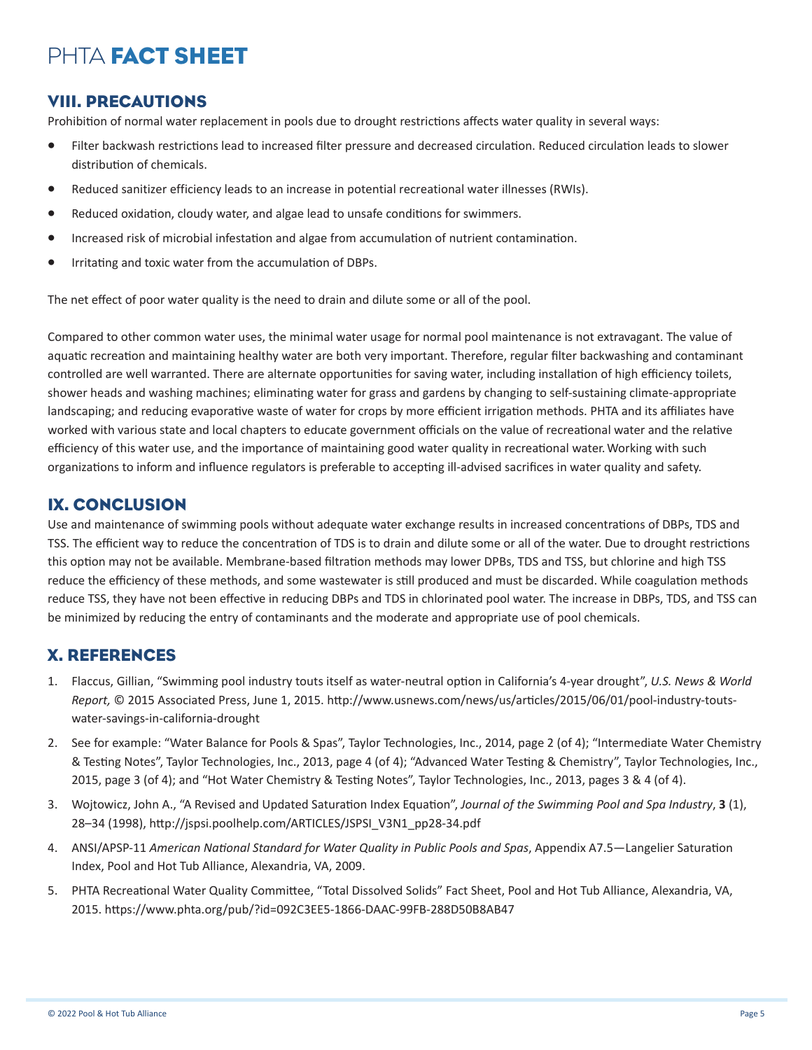### VIII. PRECAUTIONS

Prohibition of normal water replacement in pools due to drought restrictions affects water quality in several ways:

- Filter backwash restrictions lead to increased filter pressure and decreased circulation. Reduced circulation leads to slower distribution of chemicals.
- Reduced sanitizer efficiency leads to an increase in potential recreational water illnesses (RWIs).
- Reduced oxidation, cloudy water, and algae lead to unsafe conditions for swimmers.
- Increased risk of microbial infestation and algae from accumulation of nutrient contamination.
- Irritating and toxic water from the accumulation of DBPs.

The net effect of poor water quality is the need to drain and dilute some or all of the pool.

Compared to other common water uses, the minimal water usage for normal pool maintenance is not extravagant. The value of aquatic recreation and maintaining healthy water are both very important. Therefore, regular filter backwashing and contaminant controlled are well warranted. There are alternate opportunities for saving water, including installation of high efficiency toilets, shower heads and washing machines; eliminating water for grass and gardens by changing to self-sustaining climate-appropriate landscaping; and reducing evaporative waste of water for crops by more efficient irrigation methods. PHTA and its affiliates have worked with various state and local chapters to educate government officials on the value of recreational water and the relative efficiency of this water use, and the importance of maintaining good water quality in recreational water.Working with such organizations to inform and influence regulators is preferable to accepting ill-advised sacrifices in water quality and safety.

#### IX. CONCLUSION

Use and maintenance of swimming pools without adequate water exchange results in increased concentrations of DBPs, TDS and TSS. The efficient way to reduce the concentration of TDS is to drain and dilute some or all of the water. Due to drought restrictions this option may not be available. Membrane-based filtration methods may lower DPBs, TDS and TSS, but chlorine and high TSS reduce the efficiency of these methods, and some wastewater is still produced and must be discarded. While coagulation methods reduce TSS, they have not been effective in reducing DBPs and TDS in chlorinated pool water. The increase in DBPs, TDS, and TSS can be minimized by reducing the entry of contaminants and the moderate and appropriate use of pool chemicals.

#### X. REFERENCES

- 1. Flaccus, Gillian, "Swimming pool industry touts itself as water-neutral option in California's 4-year drought", *U.S. News & World Report,* © 2015 Associated Press, June 1, 2015. http://www.usnews.com/news/us/articles/2015/06/01/pool-industry-toutswater-savings-in-california-drought
- 2. See for example: "Water Balance for Pools & Spas", Taylor Technologies, Inc., 2014, page 2 (of 4); "Intermediate Water Chemistry & Testing Notes", Taylor Technologies, Inc., 2013, page 4 (of 4); "Advanced Water Testing & Chemistry", Taylor Technologies, Inc., 2015, page 3 (of 4); and "Hot Water Chemistry & Testing Notes", Taylor Technologies, Inc., 2013, pages 3 & 4 (of 4).
- 3. Wojtowicz, John A., "A Revised and Updated Saturation Index Equation", *Journal of the Swimming Pool and Spa Industry*, **3** (1), 28–34 (1998), http://jspsi.poolhelp.com/ARTICLES/JSPSI\_V3N1\_pp28-34.pdf
- 4. ANSI/APSP-11 *American National Standard for Water Quality in Public Pools and Spas*, Appendix A7.5—Langelier Saturation Index, Pool and Hot Tub Alliance, Alexandria, VA, 2009.
- 5. PHTA Recreational Water Quality Committee, "Total Dissolved Solids" Fact Sheet, Pool and Hot Tub Alliance, Alexandria, VA, 2015. https://www.phta.org/pub/?id=092C3EE5-1866-DAAC-99FB-288D50B8AB47